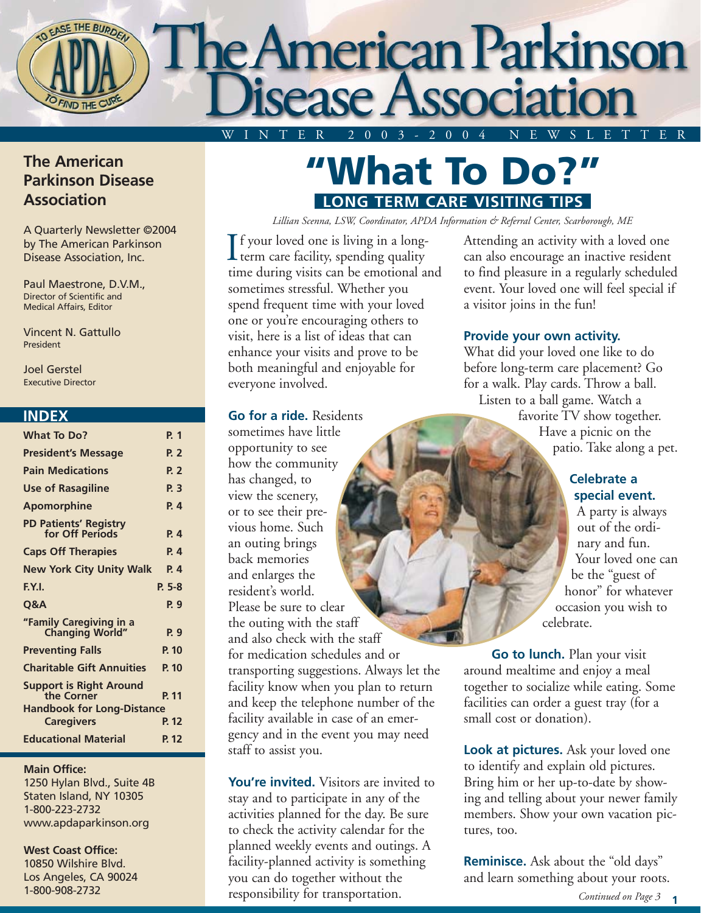

#### **The American Parkinson Disease Association**

A Quarterly Newsletter ©2004 by The American Parkinson Disease Association, Inc.

Paul Maestrone, D.V.M., Director of Scientific and Medical Affairs, Editor

Vincent N. Gattullo President

Joel Gerstel Executive Director

| <b>INDEX</b>                                                                      |          |
|-----------------------------------------------------------------------------------|----------|
| <b>What To Do?</b>                                                                | P. 1     |
| <b>President's Message</b>                                                        | P. 2     |
| <b>Pain Medications</b>                                                           | P. 2     |
| <b>Use of Rasagiline</b>                                                          | P. 3     |
| <b>Apomorphine</b>                                                                | P. 4     |
| <b>PD Patients' Registry</b><br>for Off Periods                                   | P. 4     |
| <b>Caps Off Therapies</b>                                                         | P. 4     |
| <b>New York City Unity Walk</b>                                                   | P. 4     |
| F.Y.I.                                                                            | $P. 5-8$ |
| <b>O&amp;A</b>                                                                    | P. 9     |
| "Family Caregiving in a<br><b>Changing World"</b>                                 | P. 9     |
| <b>Preventing Falls</b>                                                           | P. 10    |
| <b>Charitable Gift Annuities</b>                                                  | P. 10    |
| <b>Support is Right Around</b><br>the Corner<br><b>Handbook for Long-Distance</b> | P 11     |
|                                                                                   |          |
| <b>Caregivers</b>                                                                 | P. 12    |

#### **Main Office:**

1250 Hylan Blvd., Suite 4B Staten Island, NY 10305 1-800-223-2732 www.apdaparkinson.org

#### **West Coast Office:**

10850 Wilshire Blvd. Los Angeles, CA 90024 1-800-908-2732

## **"What To Do?" LONG TERM CARE VISITING TIPS**

*Lillian Scenna, LSW, Coordinator, APDA Information & Referral Center, Scarborough, ME*

f your loved one is living in a long- $\prod$  f your loved one is living in a long<br>term care facility, spending quality time during visits can be emotional and sometimes stressful. Whether you spend frequent time with your loved one or you're encouraging others to visit, here is a list of ideas that can enhance your visits and prove to be both meaningful and enjoyable for everyone involved.

#### **Go for a ride.** Residents

sometimes have little opportunity to see how the community has changed, to view the scenery, or to see their previous home. Such an outing brings back memories and enlarges the resident's world. Please be sure to clear the outing with the staff and also check with the staff for medication schedules and or transporting suggestions. Always let the facility know when you plan to return and keep the telephone number of the facility available in case of an emergency and in the event you may need staff to assist you.

**You're invited.** Visitors are invited to stay and to participate in any of the activities planned for the day. Be sure to check the activity calendar for the planned weekly events and outings. A facility-planned activity is something you can do together without the responsibility for transportation.

Attending an activity with a loved one can also encourage an inactive resident to find pleasure in a regularly scheduled event. Your loved one will feel special if a visitor joins in the fun!

#### **Provide your own activity.**

What did your loved one like to do before long-term care placement? Go for a walk. Play cards. Throw a ball. Listen to a ball game. Watch a favorite TV show together. Have a picnic on the patio. Take along a pet.

#### **Celebrate a special event.**

A party is always out of the ordinary and fun. Your loved one can be the "guest of honor" for whatever occasion you wish to celebrate.

**Go to lunch.** Plan your visit around mealtime and enjoy a meal together to socialize while eating. Some facilities can order a guest tray (for a small cost or donation).

**Look at pictures.** Ask your loved one to identify and explain old pictures. Bring him or her up-to-date by showing and telling about your newer family members. Show your own vacation pictures, too.

**Reminisce.** Ask about the "old days" and learn something about your roots.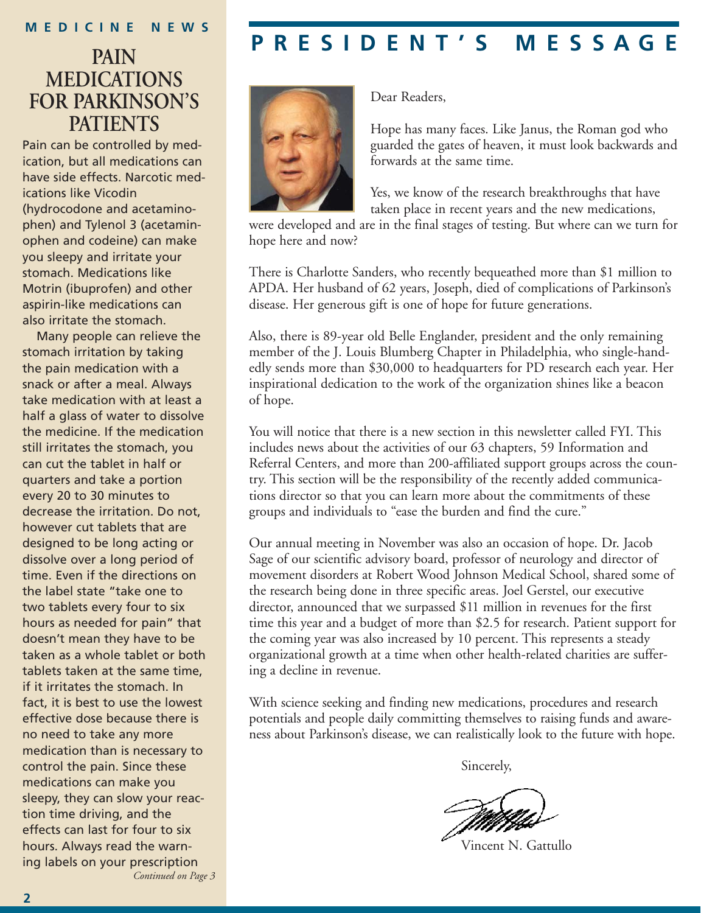## **PAIN MEDICATIONS FOR PARKINSON'S PATIENTS**

Pain can be controlled by medication, but all medications can have side effects. Narcotic medications like Vicodin (hydrocodone and acetaminophen) and Tylenol 3 (acetaminophen and codeine) can make you sleepy and irritate your stomach. Medications like Motrin (ibuprofen) and other aspirin-like medications can also irritate the stomach.

Many people can relieve the stomach irritation by taking the pain medication with a snack or after a meal. Always take medication with at least a half a glass of water to dissolve the medicine. If the medication still irritates the stomach, you can cut the tablet in half or quarters and take a portion every 20 to 30 minutes to decrease the irritation. Do not, however cut tablets that are designed to be long acting or dissolve over a long period of time. Even if the directions on the label state "take one to two tablets every four to six hours as needed for pain" that doesn't mean they have to be taken as a whole tablet or both tablets taken at the same time, if it irritates the stomach. In fact, it is best to use the lowest effective dose because there is no need to take any more medication than is necessary to control the pain. Since these medications can make you sleepy, they can slow your reaction time driving, and the effects can last for four to six hours. Always read the warning labels on your prescription *Continued on Page 3*

## **PRESIDENT'S MESSAGE**



Dear Readers,

Hope has many faces. Like Janus, the Roman god who guarded the gates of heaven, it must look backwards and forwards at the same time.

Yes, we know of the research breakthroughs that have taken place in recent years and the new medications,

were developed and are in the final stages of testing. But where can we turn for hope here and now?

There is Charlotte Sanders, who recently bequeathed more than \$1 million to APDA. Her husband of 62 years, Joseph, died of complications of Parkinson's disease. Her generous gift is one of hope for future generations.

Also, there is 89-year old Belle Englander, president and the only remaining member of the J. Louis Blumberg Chapter in Philadelphia, who single-handedly sends more than \$30,000 to headquarters for PD research each year. Her inspirational dedication to the work of the organization shines like a beacon of hope.

You will notice that there is a new section in this newsletter called FYI. This includes news about the activities of our 63 chapters, 59 Information and Referral Centers, and more than 200-affiliated support groups across the country. This section will be the responsibility of the recently added communications director so that you can learn more about the commitments of these groups and individuals to "ease the burden and find the cure."

Our annual meeting in November was also an occasion of hope. Dr. Jacob Sage of our scientific advisory board, professor of neurology and director of movement disorders at Robert Wood Johnson Medical School, shared some of the research being done in three specific areas. Joel Gerstel, our executive director, announced that we surpassed \$11 million in revenues for the first time this year and a budget of more than \$2.5 for research. Patient support for the coming year was also increased by 10 percent. This represents a steady organizational growth at a time when other health-related charities are suffering a decline in revenue.

With science seeking and finding new medications, procedures and research potentials and people daily committing themselves to raising funds and awareness about Parkinson's disease, we can realistically look to the future with hope.

Sincerely,

Vincent N. Gattullo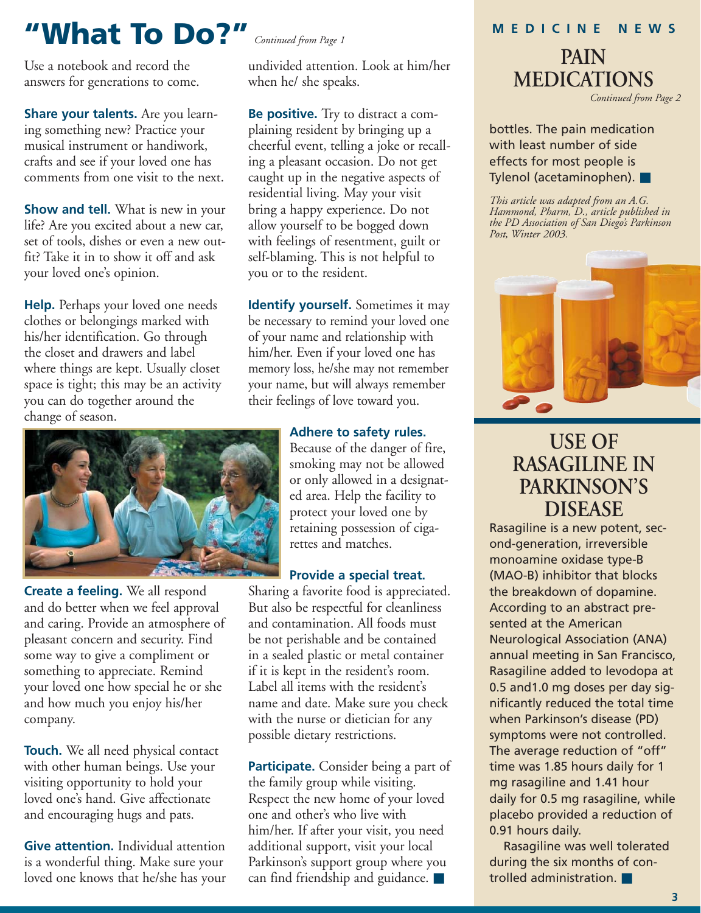# *Continued from Page 1* **"What To Do?"**

Use a notebook and record the answers for generations to come.

**Share your talents.** Are you learning something new? Practice your musical instrument or handiwork, crafts and see if your loved one has comments from one visit to the next.

**Show and tell.** What is new in your life? Are you excited about a new car, set of tools, dishes or even a new outfit? Take it in to show it off and ask your loved one's opinion.

**Help.** Perhaps your loved one needs clothes or belongings marked with his/her identification. Go through the closet and drawers and label where things are kept. Usually closet space is tight; this may be an activity you can do together around the change of season.



**Create a feeling.** We all respond and do better when we feel approval and caring. Provide an atmosphere of pleasant concern and security. Find some way to give a compliment or something to appreciate. Remind your loved one how special he or she and how much you enjoy his/her company.

**Touch.** We all need physical contact with other human beings. Use your visiting opportunity to hold your loved one's hand. Give affectionate and encouraging hugs and pats.

**Give attention.** Individual attention is a wonderful thing. Make sure your loved one knows that he/she has your

undivided attention. Look at him/her when he/ she speaks.

**Be positive.** Try to distract a complaining resident by bringing up a cheerful event, telling a joke or recalling a pleasant occasion. Do not get caught up in the negative aspects of residential living. May your visit bring a happy experience. Do not allow yourself to be bogged down with feelings of resentment, guilt or self-blaming. This is not helpful to you or to the resident.

**Identify yourself.** Sometimes it may be necessary to remind your loved one of your name and relationship with him/her. Even if your loved one has memory loss, he/she may not remember your name, but will always remember their feelings of love toward you.

#### **Adhere to safety rules.**

Because of the danger of fire, smoking may not be allowed or only allowed in a designated area. Help the facility to protect your loved one by retaining possession of cigarettes and matches.

#### **Provide a special treat.**

Sharing a favorite food is appreciated. But also be respectful for cleanliness and contamination. All foods must be not perishable and be contained in a sealed plastic or metal container if it is kept in the resident's room. Label all items with the resident's name and date. Make sure you check with the nurse or dietician for any possible dietary restrictions.

**Participate.** Consider being a part of the family group while visiting. Respect the new home of your loved one and other's who live with him/her. If after your visit, you need additional support, visit your local Parkinson's support group where you can find friendship and guidance. ■

#### **MEDICINE NEWS**

## **PAIN MEDICATIONS**

*Continued from Page 2*

bottles. The pain medication with least number of side effects for most people is Tylenol (acetaminophen). ■

*This article was adapted from an A.G. Hammond, Pharm, D., article published in the PD Association of San Diego's Parkinson Post, Winter 2003.*



## **USE OF RASAGILINE IN PARKINSON'S DISEASE**

Rasagiline is a new potent, second-generation, irreversible monoamine oxidase type-B (MAO-B) inhibitor that blocks the breakdown of dopamine. According to an abstract presented at the American Neurological Association (ANA) annual meeting in San Francisco, Rasagiline added to levodopa at 0.5 and1.0 mg doses per day significantly reduced the total time when Parkinson's disease (PD) symptoms were not controlled. The average reduction of "off" time was 1.85 hours daily for 1 mg rasagiline and 1.41 hour daily for 0.5 mg rasagiline, while placebo provided a reduction of 0.91 hours daily.

Rasagiline was well tolerated during the six months of controlled administration. ■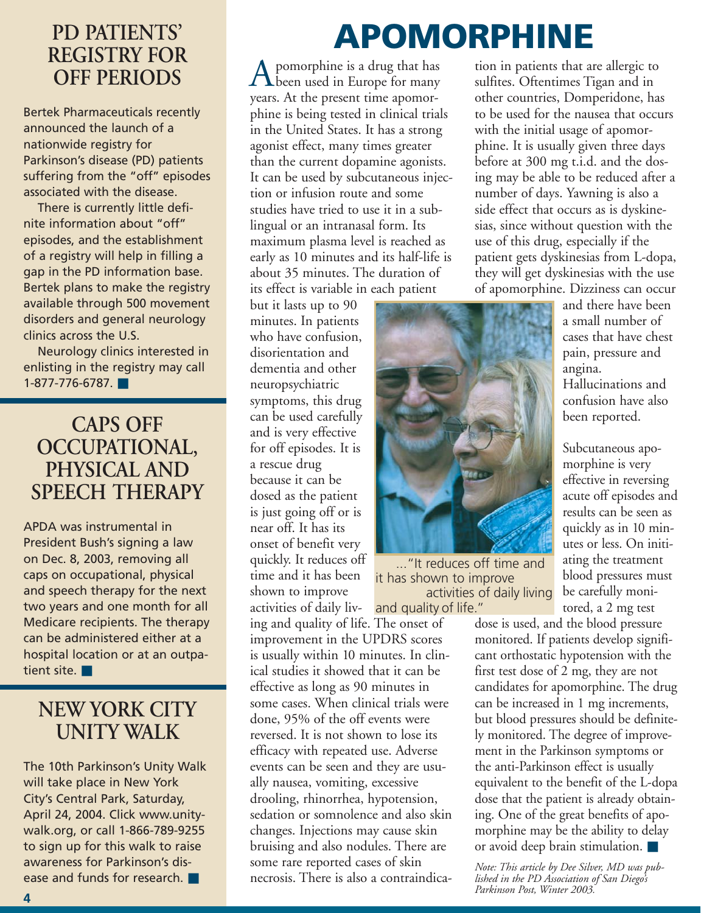## **PD PATIENTS' REGISTRY FOR OFF PERIODS**

Bertek Pharmaceuticals recently announced the launch of a nationwide registry for Parkinson's disease (PD) patients suffering from the "off" episodes associated with the disease.

There is currently little definite information about "off" episodes, and the establishment of a registry will help in filling a gap in the PD information base. Bertek plans to make the registry available through 500 movement disorders and general neurology clinics across the U.S.

Neurology clinics interested in enlisting in the registry may call 1-877-776-6787. ■

## **CAPS OFF OCCUPATIONAL, PHYSICAL AND SPEECH THERAPY**

APDA was instrumental in President Bush's signing a law on Dec. 8, 2003, removing all caps on occupational, physical and speech therapy for the next two years and one month for all Medicare recipients. The therapy can be administered either at a hospital location or at an outpatient site. ■

## **NEW YORK CITY UNITY WALK**

The 10th Parkinson's Unity Walk will take place in New York City's Central Park, Saturday, April 24, 2004. Click www.unitywalk.org, or call 1-866-789-9255 to sign up for this walk to raise awareness for Parkinson's disease and funds for research. ■

# **APOMORPHINE**

pomorphine is a drug that has A pomorphine is a drug that has<br>been used in Europe for many years. At the present time apomorphine is being tested in clinical trials in the United States. It has a strong agonist effect, many times greater than the current dopamine agonists. It can be used by subcutaneous injection or infusion route and some studies have tried to use it in a sublingual or an intranasal form. Its maximum plasma level is reached as early as 10 minutes and its half-life is about 35 minutes. The duration of its effect is variable in each patient

but it lasts up to 90 minutes. In patients who have confusion, disorientation and dementia and other neuropsychiatric symptoms, this drug can be used carefully and is very effective for off episodes. It is a rescue drug because it can be dosed as the patient is just going off or is near off. It has its onset of benefit very quickly. It reduces off time and it has been shown to improve activities of daily liv-

ing and quality of life. The onset of improvement in the UPDRS scores is usually within 10 minutes. In clinical studies it showed that it can be effective as long as 90 minutes in some cases. When clinical trials were done, 95% of the off events were reversed. It is not shown to lose its efficacy with repeated use. Adverse events can be seen and they are usually nausea, vomiting, excessive drooling, rhinorrhea, hypotension, sedation or somnolence and also skin changes. Injections may cause skin bruising and also nodules. There are some rare reported cases of skin necrosis. There is also a contraindication in patients that are allergic to sulfites. Oftentimes Tigan and in other countries, Domperidone, has to be used for the nausea that occurs with the initial usage of apomorphine. It is usually given three days before at 300 mg t.i.d. and the dosing may be able to be reduced after a number of days. Yawning is also a side effect that occurs as is dyskinesias, since without question with the use of this drug, especially if the patient gets dyskinesias from L-dopa, they will get dyskinesias with the use of apomorphine. Dizziness can occur



..."It reduces off time and it has shown to improve activities of daily living and quality of life."

and there have been a small number of cases that have chest pain, pressure and angina. Hallucinations and confusion have also

been reported.

Subcutaneous apomorphine is very effective in reversing acute off episodes and results can be seen as quickly as in 10 minutes or less. On initiating the treatment blood pressures must be carefully monitored, a 2 mg test

dose is used, and the blood pressure monitored. If patients develop significant orthostatic hypotension with the first test dose of 2 mg, they are not candidates for apomorphine. The drug can be increased in 1 mg increments, but blood pressures should be definitely monitored. The degree of improvement in the Parkinson symptoms or the anti-Parkinson effect is usually equivalent to the benefit of the L-dopa dose that the patient is already obtaining. One of the great benefits of apomorphine may be the ability to delay or avoid deep brain stimulation. ■

*Note: This article by Dee Silver, MD was published in the PD Association of San Diego's Parkinson Post, Winter 2003.*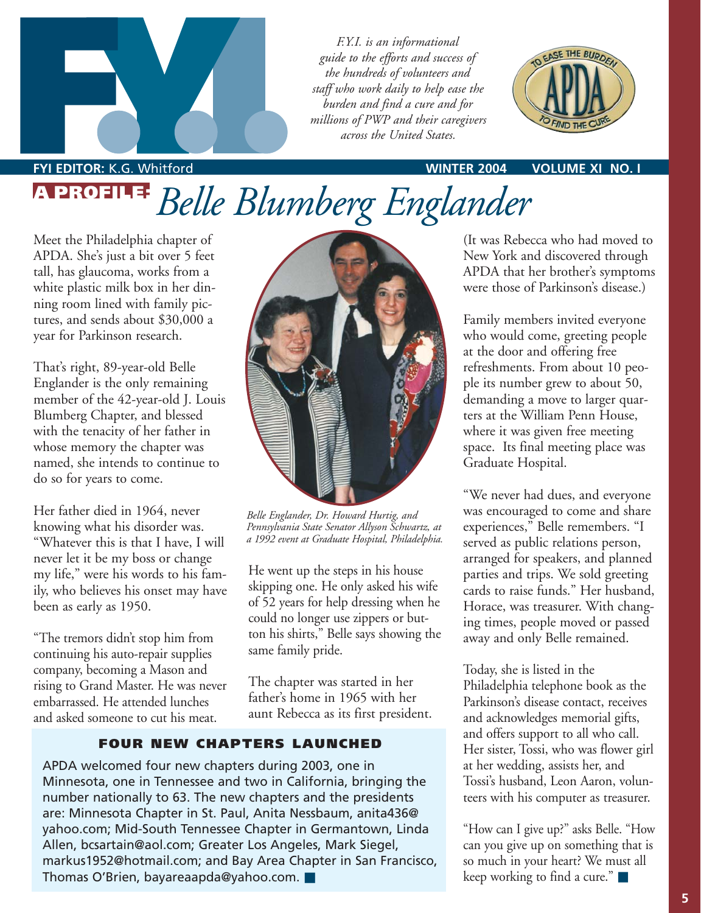

*F.Y.I. is an informational guide to the efforts and success of the hundreds of volunteers and staff who work daily to help ease the burden and find a cure and for millions of PWP and their caregivers across the United States.*



WINTER 2004 VOLUME XI NO.

# *Belle Blumberg Englander*

Meet the Philadelphia chapter of APDA. She's just a bit over 5 feet tall, has glaucoma, works from a white plastic milk box in her dinning room lined with family pictures, and sends about \$30,000 a year for Parkinson research.

That's right, 89-year-old Belle Englander is the only remaining member of the 42-year-old J. Louis Blumberg Chapter, and blessed with the tenacity of her father in whose memory the chapter was named, she intends to continue to do so for years to come.

Her father died in 1964, never knowing what his disorder was. "Whatever this is that I have, I will never let it be my boss or change my life," were his words to his family, who believes his onset may have been as early as 1950.

"The tremors didn't stop him from continuing his auto-repair supplies company, becoming a Mason and rising to Grand Master. He was never embarrassed. He attended lunches and asked someone to cut his meat.



*Belle Englander, Dr. Howard Hurtig, and Pennsylvania State Senator Allyson Schwartz, at a 1992 event at Graduate Hospital, Philadelphia.*

He went up the steps in his house skipping one. He only asked his wife of 52 years for help dressing when he could no longer use zippers or button his shirts," Belle says showing the same family pride.

The chapter was started in her father's home in 1965 with her aunt Rebecca as its first president.

#### **FOUR NEW CHAPTERS LAUNCHED**

APDA welcomed four new chapters during 2003, one in Minnesota, one in Tennessee and two in California, bringing the number nationally to 63. The new chapters and the presidents are: Minnesota Chapter in St. Paul, Anita Nessbaum, anita436@ yahoo.com; Mid-South Tennessee Chapter in Germantown, Linda Allen, bcsartain@aol.com; Greater Los Angeles, Mark Siegel, markus1952@hotmail.com; and Bay Area Chapter in San Francisco, Thomas O'Brien, bayareaapda@yahoo.com. ■

(It was Rebecca who had moved to New York and discovered through APDA that her brother's symptoms were those of Parkinson's disease.)

Family members invited everyone who would come, greeting people at the door and offering free refreshments. From about 10 people its number grew to about 50, demanding a move to larger quarters at the William Penn House, where it was given free meeting space. Its final meeting place was Graduate Hospital.

"We never had dues, and everyone was encouraged to come and share experiences," Belle remembers. "I served as public relations person, arranged for speakers, and planned parties and trips. We sold greeting cards to raise funds." Her husband, Horace, was treasurer. With changing times, people moved or passed away and only Belle remained.

Today, she is listed in the Philadelphia telephone book as the Parkinson's disease contact, receives and acknowledges memorial gifts, and offers support to all who call. Her sister, Tossi, who was flower girl at her wedding, assists her, and Tossi's husband, Leon Aaron, volunteers with his computer as treasurer.

"How can I give up?" asks Belle. "How can you give up on something that is so much in your heart? We must all keep working to find a cure." ■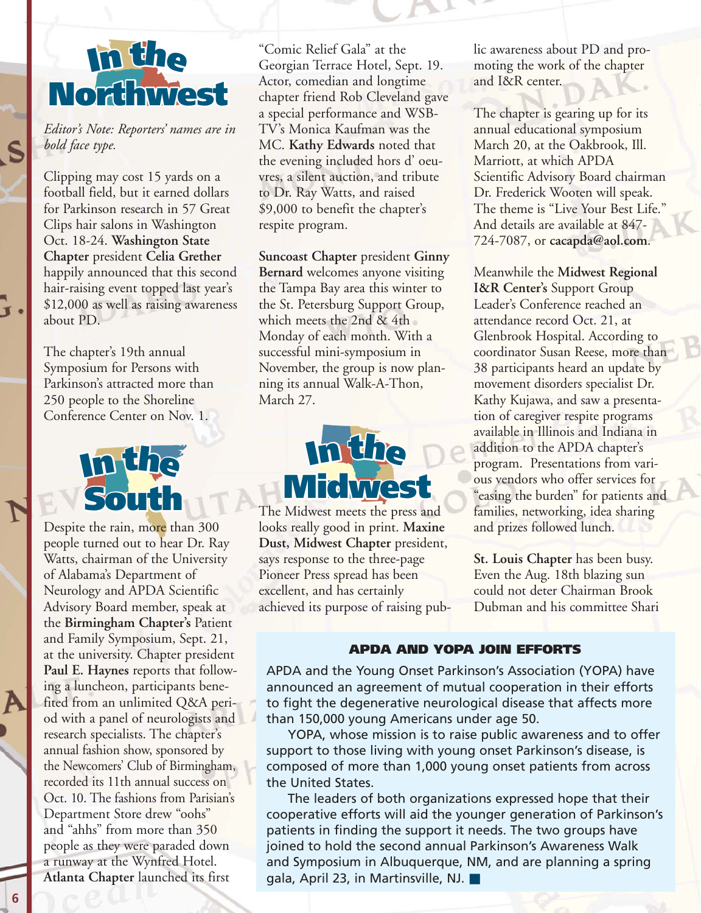

*Editor's Note: Reporters' names are in bold face type.*

football field, but it earned dollars<br>for Parkinson research in 57 Great bold face type.<br>Clipping may cost 15 yards on a **Midwest** \$12,000 as well as raising awareness **I**<br>happily announced that this second<br>hair-raising event topped last year's for Parkinson research in 57 Great Clips hair salons in Washington Oct. 18-24. **Washington State Chapter** president **Celia Grether** hair-raising event topped last year's about PD.

**Solution**Conference Center on Nov. 1. Symposium for Persons with<br>Parkinson's attracted more than<br>258 Parkinson's attracted more than<br>
250 people to the Shoreline **I<sup>n</sup> th<sup>e</sup>** Symposium for Persons with The chapter's 19th annual



Despite the rain, more than 300 **East Midwest** the **Birmingham Chapter's** Patient **I<sup>n</sup> th<sup>e</sup> I<sup>n</sup> th<sup>e</sup>** of Alabama's Department of **South a panel of neurologists and<br>
research specialists**. The chapter's Paul E. Haynes reports that follover ing a luncheon, participants bene-**West** and "ahhs" from more than 350 **I<sup>n</sup> th<sup>e</sup>** Oct. 10. The fashions from Parisian's **I<sup>n</sup> th<sup>e</sup> Atlanta Chapter** launched its first people turned out to hear Dr. Ray Watts, chairman of the University Neurology and APDA Scientific Advisory Board member, speak at and Family Symposium, Sept. 21, at the university. Chapter president **Paul E. Haynes** reports that followfited from an unlimited Q&A periresearch specialists. The chapter's annual fashion show, sponsored by the Newcomers' Club of Birmingham, recorded its 11th annual success on Department Store drew "oohs" people as they were paraded down a runway at the Wynfred Hotel.

"Comic Relief Gala" at the Georgian Terrace Hotel, Sept. 19. Actor, comedian and longtime chapter friend Rob Cleveland gave a special performance and WSB-TV's Monica Kaufman was the MC. **Kathy Edwards** noted that the evening included hors d' oeuvres, a silent auction, and tribute to Dr. Ray Watts, and raised \$9,000 to benefit the chapter's respite program. **I<sup>n</sup> th<sup>e</sup>**

**Suncoast Chapter** president **Ginny Suncoast Chapter president Ginny**<br>**Bernard** welcomes anyone visiting the Tampa Bay area this winter to the St. Petersburg Support Group, which meets the 2nd & 4th which meets the 2nd & 4th<br>Monday of each month. With a successful mini-symposium in November, the group is now plan-<br>ping its annual Walk-A-Thon. ning its annual Walk-A-Thon, March 27.



The Midwest meets the press and looks really good in print. **Maxine Dust, Midwest Chapter** president, **Dust, Midwest Chapter** presidents ays response to the three-page Pioneer Press spread has been r folicer Fress spread has been<br>excellent, and has certainly achieved its purpose of raising public awareness about PD and promoting the work of the chapter and I&R center.

The chapter is gearing up for its annual educational symposium March 20, at the Oakbrook, Ill. Marriott, at which APDA Scientific Advisory Board chairman Dr. Frederick Wooten will speak. The theme is "Live Your Best Life." And details are available at 847- 724-7087, or **cacapda@aol.com**.

Meanwhile the **Midwest Regional I&R Center's** Support Group Leader's Conference reached an attendance record Oct. 21, at Glenbrook Hospital. According to coordinator Susan Reese, more than 38 participants heard an update by movement disorders specialist Dr. Kathy Kujawa, and saw a presentation of caregiver respite programs available in Illinois and Indiana in addition to the APDA chapter's program. Presentations from various vendors who offer services for "easing the burden" for patients and families, networking, idea sharing and prizes followed lunch.

**St. Louis Chapter** has been busy. Even the Aug. 18th blazing sun could not deter Chairman Brook Dubman and his committee Shari

#### **APDA AND YOPA JOIN EFFORTS**

**APDA AND YOPA JOIN EFFORTS**<br>APDA and the Young Onset Parkinson's Association (YOPA) have announced an agreement of mutual cooperation in their efforts announced an agreement of mutual cooperation in their efforts<br>to fight the degenerative neurological disease that affects more than 150,000 young Americans under age 50.

YOPA, whose mission is to raise public awareness and to offer support to those living with young onset Parkinson's disease, is<br>composed of more than 1,000 young onset patients from acros composed of more than 1,000 young onset patients from across the United States.

United States.<br>The leaders of both organizations expressed hope that their<br>reastive effects will sid the vermoes generation of Parkinser cooperative efforts will aid the younger generation of Parkinson's patients in finding the support it needs. The two groups have joined to hold the second annual Parkinson's Awareness Walk and Symposium in Albuquerque, NM, and are planning a spring gala, April 23, in Martinsville, NJ.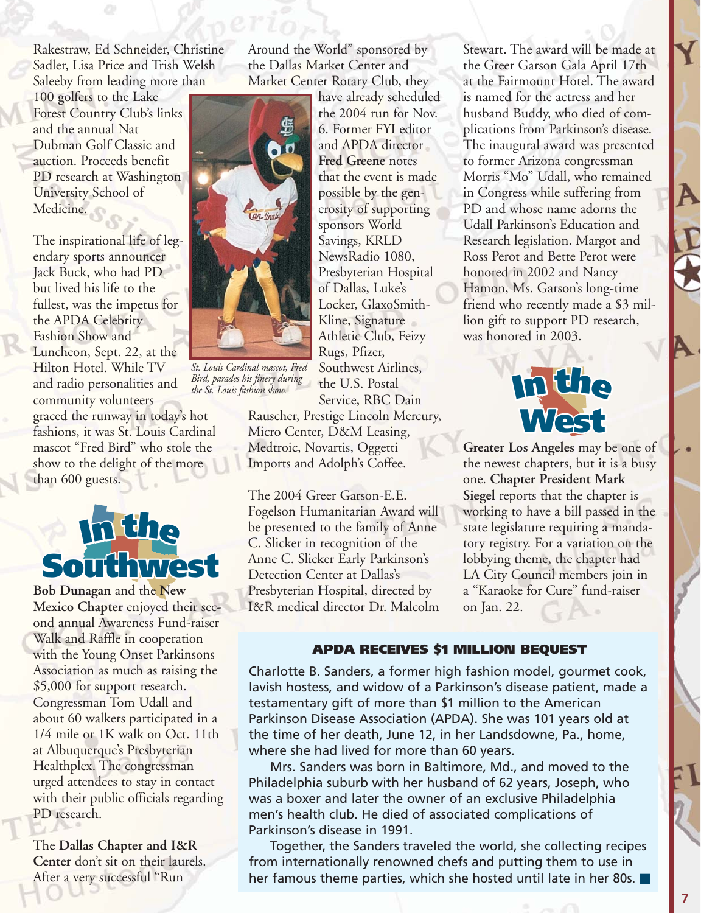Rakestraw, Ed Schneider, Christine Sadler, Lisa Price and Trish Welsh Saleeby from leading more than

University School of<br>Medicine. 100 golfers to the Lake Forest Country Club's links and the annual Nat Dubman Golf Classic and auction. Proceeds benefit PD research at Washington Medicine.

The inspirational life of leg-Fashion Show and<br>Luncheon, Sept. 22, at the **I**<br>**In**<br>**Inhe** APDA Celebrity mascot Trea *Bi*M who stoce the<br>show to the delight of the more graced the runway in today's hot<br>**fashions, it was St. Louis Cardin** endary sports announcer Jack Buck, who had PD but lived his life to the the APDA Celebrity Fashion Show and Hilton Hotel. While TV and radio personalities and community volunteers fashions, it was St. Louis Cardinal mascot "Fred Bird" who stole the than 600 guests.



Association as much as raising the<br>
\$5.000 for support research **I<sup>n</sup> th<sup>e</sup>** Walk and Raffle in cooperation Healthplex. The congressman<br>urged attendees to stay in con **I**<br> **I**/4 mile or 1K walk on Oct. 11th<br> **AI** at Albuqueraue's Presbyterian **Bob Dunagan** and the **New Mexico Chapter** enjoyed their second annual Awareness Fund-raiser with the Young Onset Parkinsons \$5,000 for support research. Congressman Tom Udall and about 60 walkers participated in a at Albuquerque's Presbyterian urged attendees to stay in contact with their public officials regarding PD research.

The **Dallas Chapter and I&R Center** don't sit on their laurels. After a very successful "Run

Around the World" sponsored by the Dallas Market Center and Market Center Rotary Club, they



*St. Louis Cardinal mascot, Fred Bird, parades his finery during the St. Louis fashion show.* 

have already scheduled the 2004 run for Nov. 6. Former FYI editor and APDA director **Fred Greene** notes that the event is made possible by the generosity of supporting sponsors World Savings, KRLD NewsRadio 1080, Presbyterian Hospital of Dallas, Luke's Locker, GlaxoSmith-Kline, Signature Athletic Club, Feizy Rugs, Pfizer, Southwest Airlines, the U.S. Postal

Rauscher, Prestige Lincoln Mercury, Micro Center, D&M Leasing, Medtroic, Novartis, Oggetti Imports and Adolph's Coffee.

Service, RBC Dain

The 2004 Greer Garson-E.E. Fogelson Humanitarian Award will be presented to the family of Anne C. Slicker in recognition of the Anne C. Slicker Early Parkinson's Detection Center at Dallas's Presbyterian Hospital, directed by I&R medical director Dr. Malcolm

friend who recently made a \$3 mil<br>lion gift to support PD research, **I<sup>n</sup> th<sup>e</sup>** Hamon, Ms. Garson's long-time at the Fahmount Hotel. The aw<br>is named for the actress and her<br>husband Buddy who died of as Stewart. The award will be made at<br>the Greer Garson Gala April 17th PD and whose name adorns the<br>Udall Parkinson's Education anc **I**<br>**I** Morris "Mo" Udall, who remained<br>in Canagana while with the frame the Greer Garson Gala April 17th at the Fairmount Hotel. The award husband Buddy, who died of complications from Parkinson's disease. The inaugural award was presented to former Arizona congressman in Congress while suffering from Udall Parkinson's Education and Research legislation. Margot and Ross Perot and Bette Perot were honored in 2002 and Nancy friend who recently made a \$3 milwas honored in 2003.



**East** state legislature requiring a manda-**I<sup>n</sup> th<sup>e</sup>** one. **Chapter President Mark Greater Los Angeles** may be one of the newest chapters, but it is a busy **Siegel** reports that the chapter is working to have a bill passed in the tory registry. For a variation on the lobbying theme, the chapter had LA City Council members join in a "Karaoke for Cure" fund-raiser on Jan. 22.

#### **APDA RECEIVES \$1 MILLION BEQUEST**

Charlotte B. Sanders, a former high fashion model, gourmet cook, lavish hostess, and widow of a Parkinson's disease patient, made a testamentary gift of more than \$1 million to the American Parkinson Disease Association (APDA). She was 101 years old at the time of her death, June 12, in her Landsdowne, Pa., home, where she had lived for more than 60 years.

Mrs. Sanders was born in Baltimore, Md., and moved to the Philadelphia suburb with her husband of 62 years, Joseph, who was a boxer and later the owner of an exclusive Philadelphia men's health club. He died of associated complications of Parkinson's disease in 1991.

Together, the Sanders traveled the world, she collecting recipes from internationally renowned chefs and putting them to use in her famous theme parties, which she hosted until late in her 80s.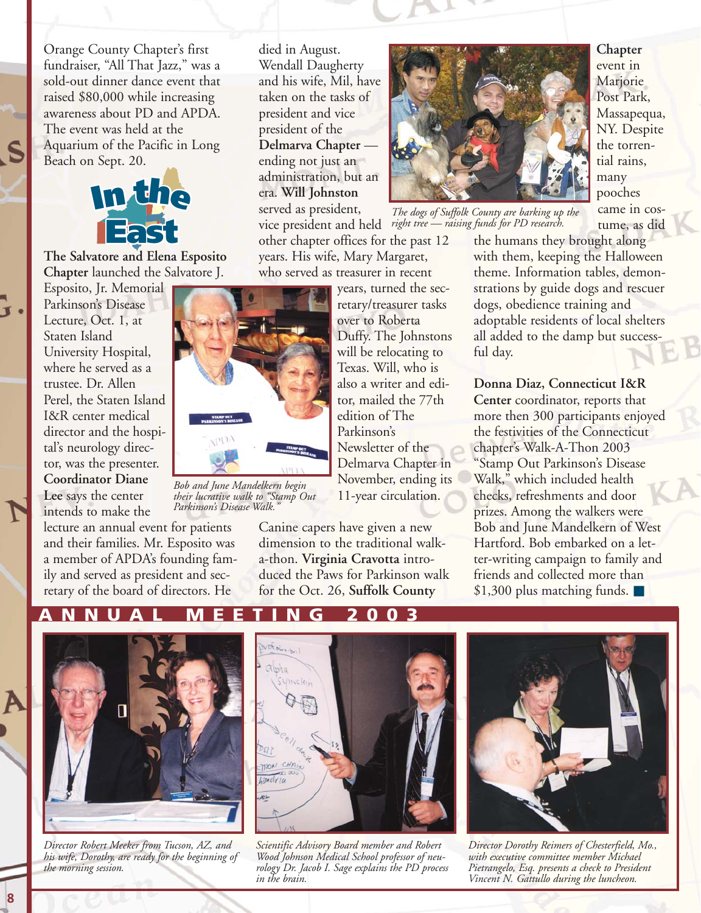Orange County Chapter's first fundraiser, "All That Jazz," was a sold-out dinner dance event that raised \$80,000 while increasing **I<sup>n</sup> th<sup>e</sup>** awareness about PD and APDA. The event was held at the The event was held at the<br>Aquarium of the Pacific in Long Beach on Sept. 20. **Southwest**



**The Salvatore and Elena Esposito Chapter** launched the Salvatore J.

Esposito, Jr. Memorial Parkinson's Disease Lecture, Oct. 1, at Staten Island University Hospital, where he served as a trustee. Dr. Allen Perel, the Staten Island I&R center medical director and the hospital's neurology director, was the presenter. **Coordinator Diane Lee** says the center intends to make the

lecture an annual event for patients and their families. Mr. Esposito was a member of APDA's founding family and served as president and secretary of the board of directors. He

died in August. Wendall Daugherty and his wife, Mil, have taken on the tasks of president and vice president of the Delmarva Chapter ending not just an administration, but an era. **Will Johnston** served as president,

vice president and held other chapter offices for the past 12 years. His wife, Mary Margaret, who served as treasurer in recent



*Bob and June Mandelkern begin their lucrative walk to "Stamp Out Parkinson's Disease Walk."*

Canine capers have given a new dimension to the traditional walka-thon. **Virginia Cravotta** introduced the Paws for Parkinson walk for the Oct. 26, **Suffolk County**

11-year circulation.



*The dogs of Suffolk County are barking up the right tree — raising funds for PD research.* 

**Chapter** event in Marjorie Post Park, Massapequa, NY. Despite the torrential rains, many pooches came in costume, as did

the humans they brought along with them, keeping the Halloween theme. Information tables, demonstrations by guide dogs and rescuer dogs, obedience training and adoptable residents of local shelters all added to the damp but successful day.

#### **Donna Diaz, Connecticut I&R Center** coordinator, reports that more then 300 participants enjoyed the festivities of the Connecticut chapter's Walk-A-Thon 2003 "Stamp Out Parkinson's Disease Walk," which included health checks, refreshments and door prizes. Among the walkers were Bob and June Mandelkern of West Hartford. Bob embarked on a letter-writing campaign to family and friends and collected more than \$1,300 plus matching funds. ■

### **ANNUAL MEETING 2003**



*Director Robert Meeker from Tucson, AZ, and his wife, Dorothy, are ready for the beginning of the morning session.*

**8**



*Scientific Advisory Board member and Robert Wood Johnson Medical School professor of neurology Dr. Jacob I. Sage explains the PD process in the brain.*



*Director Dorothy Reimers of Chesterfield, Mo., with executive committee member Michael Pietrangelo, Esq. presents a check to President Vincent N. Gattullo during the luncheon.*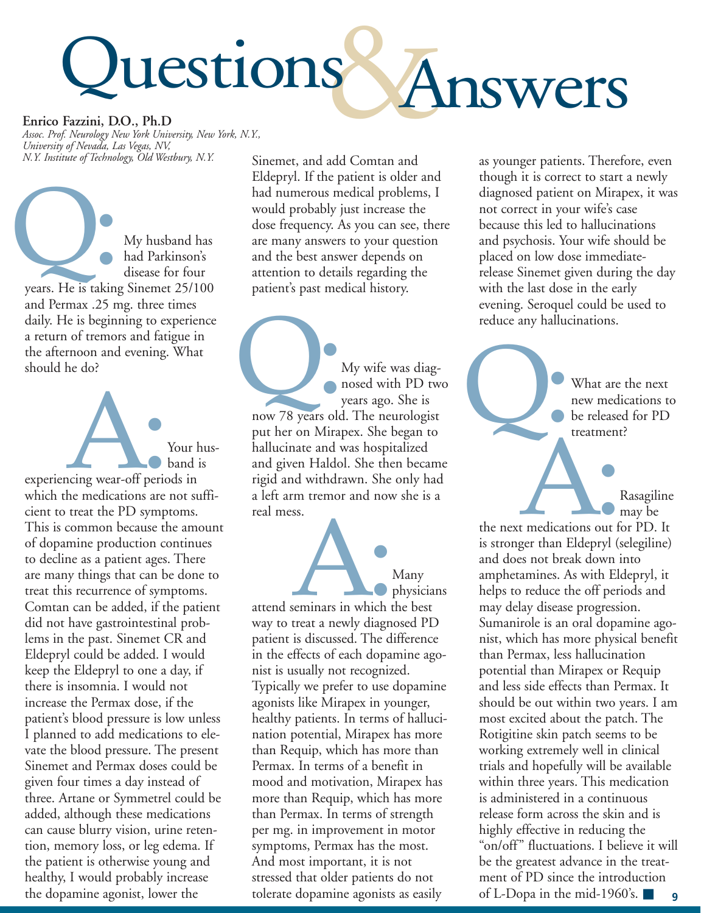# uestions Answers

**Enrico Fazzini, D.O., Ph.D** *Assoc. Prof. Neurology New York University, New York, N.Y., University of Nevada, Las Vegas, NV, N.Y. Institute of Technology, Old Westbury, N.Y.*

My husband has had Parkinson's disease for four My husband has<br>had Parkinson's<br>disease for four<br>years. He is taking Sinemet 25/100 and Permax .25 mg. three times daily. He is beginning to experience a return of tremors and fatigue in the afternoon and evening. What should he do?

Your husband is experiencing wear-off periods in which the medications are not sufficient to treat the PD symptoms. This is common because the amount of dopamine production continues to decline as a patient ages. There are many things that can be done to treat this recurrence of symptoms. Comtan can be added, if the patient did not have gastrointestinal problems in the past. Sinemet CR and Eldepryl could be added. I would keep the Eldepryl to one a day, if there is insomnia. I would not increase the Permax dose, if the patient's blood pressure is low unless I planned to add medications to elevate the blood pressure. The present Sinemet and Permax doses could be given four times a day instead of three. Artane or Symmetrel could be added, although these medications can cause blurry vision, urine retention, memory loss, or leg edema. If the patient is otherwise young and healthy, I would probably increase the dopamine agonist, lower the aing wear-off period

Sinemet, and add Comtan and Eldepryl. If the patient is older and had numerous medical problems, I would probably just increase the dose frequency. As you can see, there are many answers to your question and the best answer depends on attention to details regarding the patient's past medical history.

My wife was diagnosed with PD two years ago. She is My wife was diagnosed with PD two years ago. She is<br>
now 78 years old. The neurologist put her on Mirapex. She began to hallucinate and was hospitalized and given Haldol. She then became rigid and withdrawn. She only had a left arm tremor and now she is a real mess.

Many physicians attend seminars in which the best way to treat a newly diagnosed PD patient is discussed. The difference in the effects of each dopamine agonist is usually not recognized. Typically we prefer to use dopamine agonists like Mirapex in younger, healthy patients. In terms of hallucination potential, Mirapex has more than Requip, which has more than Permax. In terms of a benefit in mood and motivation, Mirapex has more than Requip, which has more than Permax. In terms of strength per mg. in improvement in motor symptoms, Permax has the most. And most important, it is not stressed that older patients do not tolerate dopamine agonists as easily Seminars in which the real a newly diagno

as younger patients. Therefore, even though it is correct to start a newly diagnosed patient on Mirapex, it was not correct in your wife's case because this led to hallucinations and psychosis. Your wife should be placed on low dose immediaterelease Sinemet given during the day with the last dose in the early evening. Seroquel could be used to reduce any hallucinations.

What are the next new medications to be released for PD treatment? Q:

> Rasagiline may be

**9** the next medications out for PD. It is stronger than Eldepryl (selegiline) and does not break down into amphetamines. As with Eldepryl, it helps to reduce the off periods and may delay disease progression. Sumanirole is an oral dopamine agonist, which has more physical benefit than Permax, less hallucination potential than Mirapex or Requip and less side effects than Permax. It should be out within two years. I am most excited about the patch. The Rotigitine skin patch seems to be working extremely well in clinical trials and hopefully will be available within three years. This medication is administered in a continuous release form across the skin and is highly effective in reducing the "on/off" fluctuations. I believe it will be the greatest advance in the treatment of PD since the introduction of L-Dopa in the mid-1960's. ■ t medications out for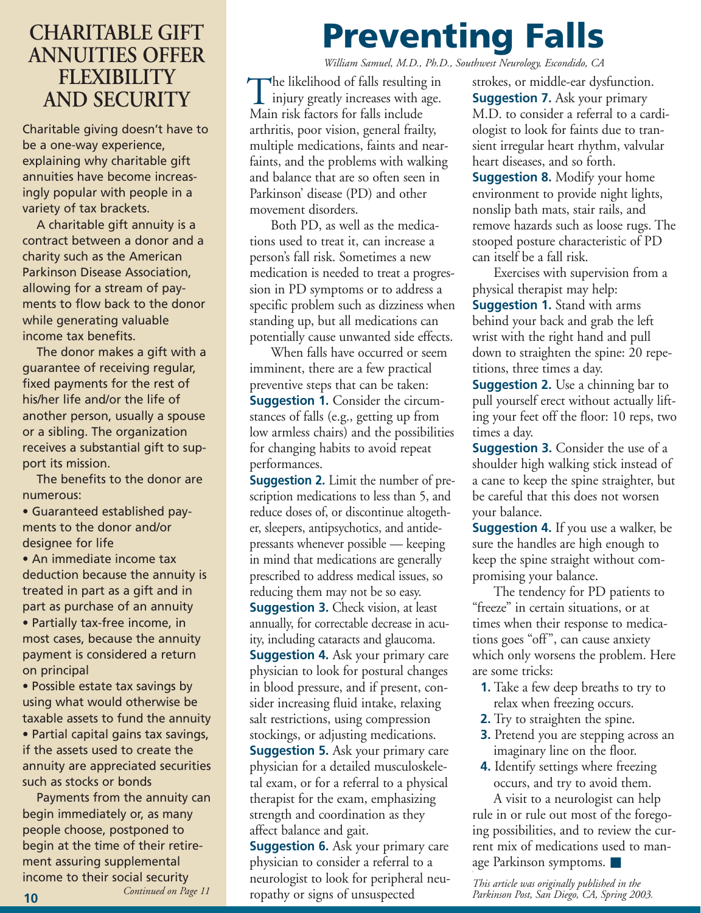## **CHARITABLE GIFT ANNUITIES OFFER FLEXIBILITY AND SECURITY**

Charitable giving doesn't have to be a one-way experience, explaining why charitable gift annuities have become increasingly popular with people in a variety of tax brackets.

A charitable gift annuity is a contract between a donor and a charity such as the American Parkinson Disease Association, allowing for a stream of payments to flow back to the donor while generating valuable income tax benefits.

The donor makes a gift with a guarantee of receiving regular, fixed payments for the rest of his/her life and/or the life of another person, usually a spouse or a sibling. The organization receives a substantial gift to support its mission.

The benefits to the donor are numerous:

• Guaranteed established payments to the donor and/or designee for life

• An immediate income tax deduction because the annuity is treated in part as a gift and in part as purchase of an annuity • Partially tax-free income, in most cases, because the annuity payment is considered a return on principal

• Possible estate tax savings by using what would otherwise be taxable assets to fund the annuity

• Partial capital gains tax savings, if the assets used to create the annuity are appreciated securities such as stocks or bonds

Payments from the annuity can begin immediately or, as many people choose, postponed to begin at the time of their retirement assuring supplemental income to their social security *Continued on Page 11*

# **Preventing Falls**

*William Samuel, M.D., Ph.D., Southwest Neurology, Escondido, CA*

he likelihood of falls resulting in The likelihood of falls resulting in<br>injury greatly increases with age.<br>Main risk factors for falls include Main risk factors for falls include arthritis, poor vision, general frailty, multiple medications, faints and nearfaints, and the problems with walking and balance that are so often seen in Parkinson' disease (PD) and other movement disorders.

Both PD, as well as the medications used to treat it, can increase a person's fall risk. Sometimes a new medication is needed to treat a progression in PD symptoms or to address a specific problem such as dizziness when standing up, but all medications can potentially cause unwanted side effects.

When falls have occurred or seem imminent, there are a few practical preventive steps that can be taken: **Suggestion 1.** Consider the circumstances of falls (e.g., getting up from low armless chairs) and the possibilities for changing habits to avoid repeat performances.

**Suggestion 2.** Limit the number of prescription medications to less than 5, and reduce doses of, or discontinue altogether, sleepers, antipsychotics, and antidepressants whenever possible — keeping in mind that medications are generally prescribed to address medical issues, so reducing them may not be so easy. **Suggestion 3.** Check vision, at least annually, for correctable decrease in acuity, including cataracts and glaucoma. **Suggestion 4.** Ask your primary care physician to look for postural changes in blood pressure, and if present, con-

sider increasing fluid intake, relaxing salt restrictions, using compression stockings, or adjusting medications. **Suggestion 5.** Ask your primary care physician for a detailed musculoskeletal exam, or for a referral to a physical therapist for the exam, emphasizing strength and coordination as they affect balance and gait.

**Suggestion 6.** Ask your primary care physician to consider a referral to a neurologist to look for peripheral neuropathy or signs of unsuspected

strokes, or middle-ear dysfunction. **Suggestion 7.** Ask your primary M.D. to consider a referral to a cardiologist to look for faints due to transient irregular heart rhythm, valvular heart diseases, and so forth.

**Suggestion 8.** Modify your home environment to provide night lights, nonslip bath mats, stair rails, and remove hazards such as loose rugs. The stooped posture characteristic of PD can itself be a fall risk.

Exercises with supervision from a physical therapist may help: **Suggestion 1.** Stand with arms behind your back and grab the left wrist with the right hand and pull down to straighten the spine: 20 repetitions, three times a day.

**Suggestion 2.** Use a chinning bar to pull yourself erect without actually lifting your feet off the floor: 10 reps, two times a day.

**Suggestion 3.** Consider the use of a shoulder high walking stick instead of a cane to keep the spine straighter, but be careful that this does not worsen your balance.

**Suggestion 4.** If you use a walker, be sure the handles are high enough to keep the spine straight without compromising your balance.

The tendency for PD patients to "freeze" in certain situations, or at times when their response to medications goes "off", can cause anxiety which only worsens the problem. Here are some tricks:

- **1.** Take a few deep breaths to try to relax when freezing occurs.
- **2.** Try to straighten the spine.
- **3.** Pretend you are stepping across an imaginary line on the floor.
- **4.** Identify settings where freezing occurs, and try to avoid them.

A visit to a neurologist can help rule in or rule out most of the foregoing possibilities, and to review the current mix of medications used to manage Parkinson symptoms. ■

 *This article was originally published in the Parkinson Post, San Diego, CA, Spring 2003.*

**10**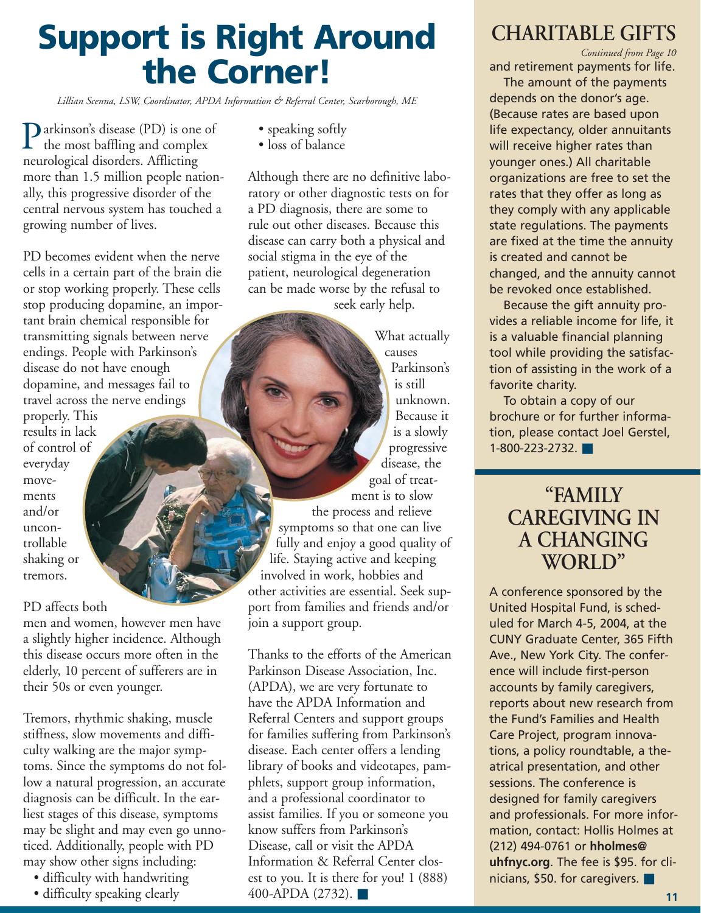# **Support is Right Around the Corner!**

*Lillian Scenna, LSW, Coordinator, APDA Information & Referral Center, Scarborough, ME*

**P**arkinson's disease (PD) is one of<br>the most baffling and complex the most baffling and complex neurological disorders. Afflicting more than 1.5 million people nationally, this progressive disorder of the central nervous system has touched a growing number of lives.

PD becomes evident when the nerve cells in a certain part of the brain die or stop working properly. These cells stop producing dopamine, an important brain chemical responsible for transmitting signals between nerve endings. People with Parkinson's disease do not have enough dopamine, and messages fail to travel across the nerve endings properly. This results in lack of control of everyday movements and/or uncontrollable shaking or tremors.

PD affects both

men and women, however men have a slightly higher incidence. Although this disease occurs more often in the elderly, 10 percent of sufferers are in their 50s or even younger.

Tremors, rhythmic shaking, muscle stiffness, slow movements and difficulty walking are the major symptoms. Since the symptoms do not follow a natural progression, an accurate diagnosis can be difficult. In the earliest stages of this disease, symptoms may be slight and may even go unnoticed. Additionally, people with PD may show other signs including:

- difficulty with handwriting
- difficulty speaking clearly
- speaking softly
- loss of balance

Although there are no definitive laboratory or other diagnostic tests on for a PD diagnosis, there are some to rule out other diseases. Because this disease can carry both a physical and social stigma in the eye of the patient, neurological degeneration can be made worse by the refusal to seek early help.

What actually causes Parkinson's is still unknown. Because it is a slowly progressive disease, the goal of treatment is to slow the process and relieve symptoms so that one can live fully and enjoy a good quality of life. Staying active and keeping involved in work, hobbies and other activities are essential. Seek support from families and friends and/or

Thanks to the efforts of the American Parkinson Disease Association, Inc. (APDA), we are very fortunate to have the APDA Information and Referral Centers and support groups for families suffering from Parkinson's disease. Each center offers a lending library of books and videotapes, pamphlets, support group information, and a professional coordinator to assist families. If you or someone you know suffers from Parkinson's Disease, call or visit the APDA Information & Referral Center closest to you. It is there for you! 1 (888) 400-APDA (2732). ■

join a support group.

## **CHARITABLE GIFTS**

and retirement payments for life. *Continued from Page 10*

The amount of the payments depends on the donor's age. (Because rates are based upon life expectancy, older annuitants will receive higher rates than younger ones.) All charitable organizations are free to set the rates that they offer as long as they comply with any applicable state regulations. The payments are fixed at the time the annuity is created and cannot be changed, and the annuity cannot be revoked once established.

Because the gift annuity provides a reliable income for life, it is a valuable financial planning tool while providing the satisfaction of assisting in the work of a favorite charity.

To obtain a copy of our brochure or for further information, please contact Joel Gerstel, 1-800-223-2732. ■

## **"FAMILY CAREGIVING IN A CHANGING WORLD"**

A conference sponsored by the United Hospital Fund, is scheduled for March 4-5, 2004, at the CUNY Graduate Center, 365 Fifth Ave., New York City. The conference will include first-person accounts by family caregivers, reports about new research from the Fund's Families and Health Care Project, program innovations, a policy roundtable, a theatrical presentation, and other sessions. The conference is designed for family caregivers and professionals. For more information, contact: Hollis Holmes at (212) 494-0761 or **hholmes@ uhfnyc.org**. The fee is \$95. for clinicians, \$50. for caregivers. ■